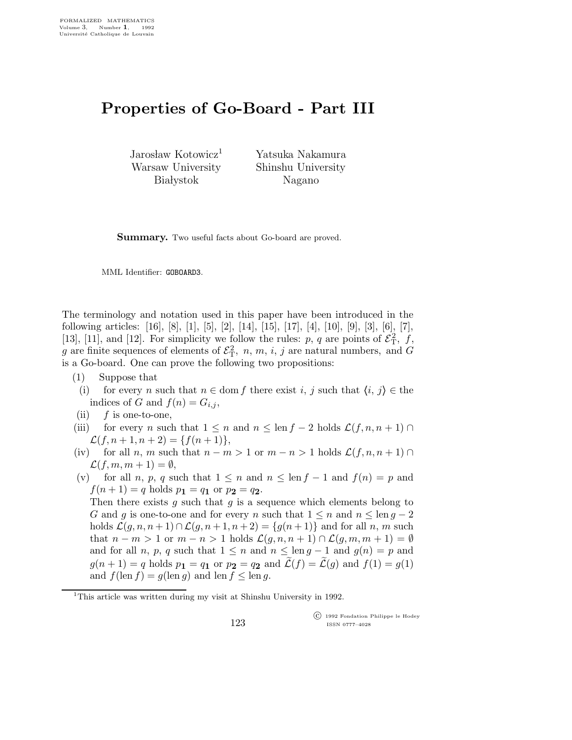## Properties of Go-Board - Part III

Jarosław Kotowicz<sup>1</sup> Warsaw University **Białystok** 

Yatsuka Nakamura Shinshu University Nagano

Summary. Two useful facts about Go-board are proved.

MML Identifier: GOBOARD3.

The terminology and notation used in this paper have been introduced in the following articles: [16], [8], [1], [5], [2], [14], [15], [17], [4], [10], [9], [3], [6], [7], [13], [11], and [12]. For simplicity we follow the rules: p, q are points of  $\mathcal{E}_T^2$ , f, g are finite sequences of elements of  $\mathcal{E}_T^2$ , n, m, i, j are natural numbers, and G is a Go-board. One can prove the following two propositions:

- (1) Suppose that
- (i) for every n such that  $n \in \text{dom } f$  there exist i, j such that  $\langle i, j \rangle \in \text{the } i$ indices of G and  $f(n) = G_{i,j}$ ,
- (ii)  $f$  is one-to-one,
- (iii) for every n such that  $1 \leq n$  and  $n \leq \text{len } f 2$  holds  $\mathcal{L}(f, n, n+1) \cap$  $\mathcal{L}(f,n+1,n+2) = \{f(n+1)\},\$
- (iv) for all n, m such that  $n m > 1$  or  $m n > 1$  holds  $\mathcal{L}(f, n, n + 1)$  $\mathcal{L}(f,m,m+1) = \emptyset,$
- (v) for all n, p, q such that  $1 \leq n$  and  $n \leq \text{len } f 1$  and  $f(n) = p$  and  $f(n+1) = q$  holds  $p_1 = q_1$  or  $p_2 = q_2$ .

Then there exists  $g$  such that  $g$  is a sequence which elements belong to G and g is one-to-one and for every n such that  $1 \leq n$  and  $n \leq \text{len } g - 2$ holds  $\mathcal{L}(g,n,n+1) \cap \mathcal{L}(g,n+1,n+2) = \{g(n+1)\}\$ and for all n, m such that  $n - m > 1$  or  $m - n > 1$  holds  $\mathcal{L}(g, n, n + 1) \cap \mathcal{L}(g, m, m + 1) = \emptyset$ and for all n, p, q such that  $1 \leq n$  and  $n \leq \text{len } q - 1$  and  $q(n) = p$  and  $g(n+1) = q$  holds  $p_1 = q_1$  or  $p_2 = q_2$  and  $\tilde{\mathcal{L}}(f) = \tilde{\mathcal{L}}(g)$  and  $f(1) = g(1)$ and  $f(\operatorname{len} f) = g(\operatorname{len} g)$  and  $\operatorname{len} f \leq \operatorname{len} g$ .

 c 1992 Fondation Philippe le Hodey ISSN 0777–4028

<sup>&</sup>lt;sup>1</sup>This article was written during my visit at Shinshu University in 1992.